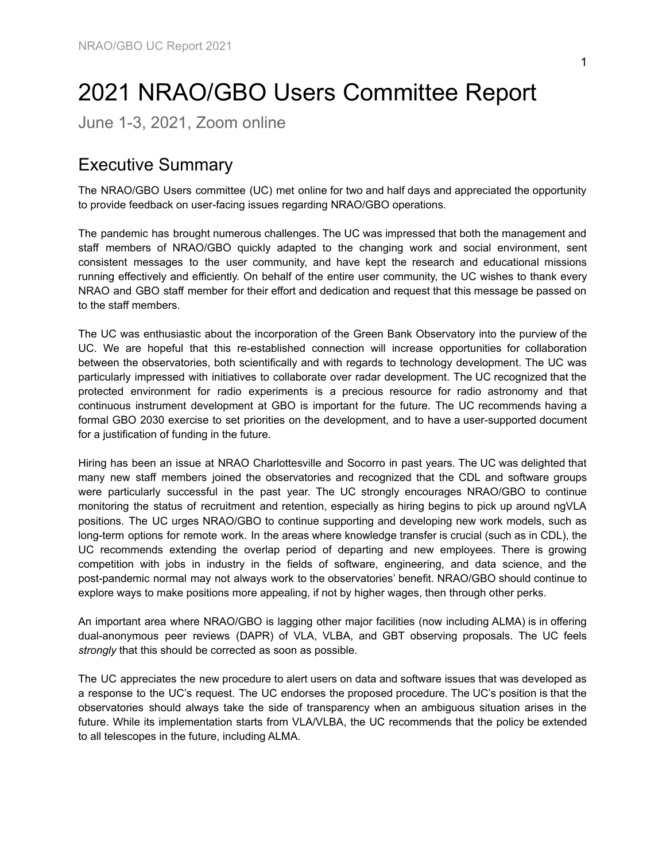# 2021 NRAO/GBO Users Committee Report

June 1-3, 2021, Zoom online

#### Executive Summary

The NRAO/GBO Users committee (UC) met online for two and half days and appreciated the opportunity to provide feedback on user-facing issues regarding NRAO/GBO operations.

The pandemic has brought numerous challenges. The UC was impressed that both the management and staff members of NRAO/GBO quickly adapted to the changing work and social environment, sent consistent messages to the user community, and have kept the research and educational missions running effectively and efficiently. On behalf of the entire user community, the UC wishes to thank every NRAO and GBO staff member for their effort and dedication and request that this message be passed on to the staff members.

The UC was enthusiastic about the incorporation of the Green Bank Observatory into the purview of the UC. We are hopeful that this re-established connection will increase opportunities for collaboration between the observatories, both scientifically and with regards to technology development. The UC was particularly impressed with initiatives to collaborate over radar development. The UC recognized that the protected environment for radio experiments is a precious resource for radio astronomy and that continuous instrument development at GBO is important for the future. The UC recommends having a formal GBO 2030 exercise to set priorities on the development, and to have a user-supported document for a justification of funding in the future.

Hiring has been an issue at NRAO Charlottesville and Socorro in past years. The UC was delighted that many new staff members joined the observatories and recognized that the CDL and software groups were particularly successful in the past year. The UC strongly encourages NRAO/GBO to continue monitoring the status of recruitment and retention, especially as hiring begins to pick up around ngVLA positions. The UC urges NRAO/GBO to continue supporting and developing new work models, such as long-term options for remote work. In the areas where knowledge transfer is crucial (such as in CDL), the UC recommends extending the overlap period of departing and new employees. There is growing competition with jobs in industry in the fields of software, engineering, and data science, and the post-pandemic normal may not always work to the observatories' benefit. NRAO/GBO should continue to explore ways to make positions more appealing, if not by higher wages, then through other perks.

An important area where NRAO/GBO is lagging other major facilities (now including ALMA) is in offering dual-anonymous peer reviews (DAPR) of VLA, VLBA, and GBT observing proposals. The UC feels *strongly* that this should be corrected as soon as possible.

The UC appreciates the new procedure to alert users on data and software issues that was developed as a response to the UC's request. The UC endorses the proposed procedure. The UC's position is that the observatories should always take the side of transparency when an ambiguous situation arises in the future. While its implementation starts from VLA/VLBA, the UC recommends that the policy be extended to all telescopes in the future, including ALMA.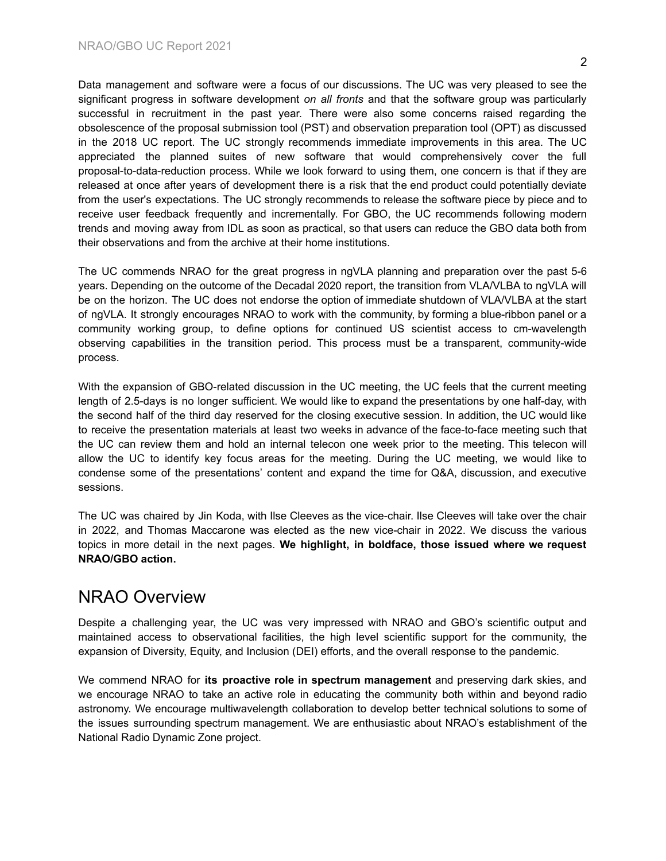Data management and software were a focus of our discussions. The UC was very pleased to see the significant progress in software development *on all fronts* and that the software group was particularly successful in recruitment in the past year. There were also some concerns raised regarding the obsolescence of the proposal submission tool (PST) and observation preparation tool (OPT) as discussed in the 2018 UC report. The UC strongly recommends immediate improvements in this area. The UC appreciated the planned suites of new software that would comprehensively cover the full proposal-to-data-reduction process. While we look forward to using them, one concern is that if they are released at once after years of development there is a risk that the end product could potentially deviate from the user's expectations. The UC strongly recommends to release the software piece by piece and to receive user feedback frequently and incrementally. For GBO, the UC recommends following modern trends and moving away from IDL as soon as practical, so that users can reduce the GBO data both from their observations and from the archive at their home institutions.

The UC commends NRAO for the great progress in ngVLA planning and preparation over the past 5-6 years. Depending on the outcome of the Decadal 2020 report, the transition from VLA/VLBA to ngVLA will be on the horizon. The UC does not endorse the option of immediate shutdown of VLA/VLBA at the start of ngVLA. It strongly encourages NRAO to work with the community, by forming a blue-ribbon panel or a community working group, to define options for continued US scientist access to cm-wavelength observing capabilities in the transition period. This process must be a transparent, community-wide process.

With the expansion of GBO-related discussion in the UC meeting, the UC feels that the current meeting length of 2.5-days is no longer sufficient. We would like to expand the presentations by one half-day, with the second half of the third day reserved for the closing executive session. In addition, the UC would like to receive the presentation materials at least two weeks in advance of the face-to-face meeting such that the UC can review them and hold an internal telecon one week prior to the meeting. This telecon will allow the UC to identify key focus areas for the meeting. During the UC meeting, we would like to condense some of the presentations' content and expand the time for Q&A, discussion, and executive sessions.

The UC was chaired by Jin Koda, with Ilse Cleeves as the vice-chair. Ilse Cleeves will take over the chair in 2022, and Thomas Maccarone was elected as the new vice-chair in 2022. We discuss the various topics in more detail in the next pages. **We highlight, in boldface, those issued where we request NRAO/GBO action.**

#### NRAO Overview

Despite a challenging year, the UC was very impressed with NRAO and GBO's scientific output and maintained access to observational facilities, the high level scientific support for the community, the expansion of Diversity, Equity, and Inclusion (DEI) efforts, and the overall response to the pandemic.

We commend NRAO for **its proactive role in spectrum management** and preserving dark skies, and we encourage NRAO to take an active role in educating the community both within and beyond radio astronomy. We encourage multiwavelength collaboration to develop better technical solutions to some of the issues surrounding spectrum management. We are enthusiastic about NRAO's establishment of the National Radio Dynamic Zone project.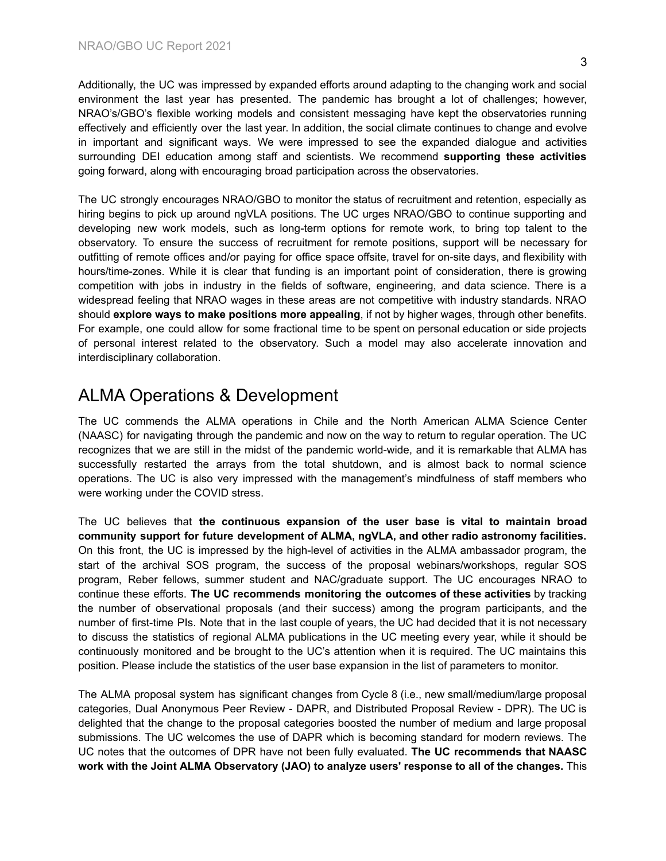Additionally, the UC was impressed by expanded efforts around adapting to the changing work and social environment the last year has presented. The pandemic has brought a lot of challenges; however, NRAO's/GBO's flexible working models and consistent messaging have kept the observatories running effectively and efficiently over the last year. In addition, the social climate continues to change and evolve in important and significant ways. We were impressed to see the expanded dialogue and activities surrounding DEI education among staff and scientists. We recommend **supporting these activities** going forward, along with encouraging broad participation across the observatories.

The UC strongly encourages NRAO/GBO to monitor the status of recruitment and retention, especially as hiring begins to pick up around ngVLA positions. The UC urges NRAO/GBO to continue supporting and developing new work models, such as long-term options for remote work, to bring top talent to the observatory. To ensure the success of recruitment for remote positions, support will be necessary for outfitting of remote offices and/or paying for office space offsite, travel for on-site days, and flexibility with hours/time-zones. While it is clear that funding is an important point of consideration, there is growing competition with jobs in industry in the fields of software, engineering, and data science. There is a widespread feeling that NRAO wages in these areas are not competitive with industry standards. NRAO should **explore ways to make positions more appealing**, if not by higher wages, through other benefits. For example, one could allow for some fractional time to be spent on personal education or side projects of personal interest related to the observatory. Such a model may also accelerate innovation and interdisciplinary collaboration.

#### ALMA Operations & Development

The UC commends the ALMA operations in Chile and the North American ALMA Science Center (NAASC) for navigating through the pandemic and now on the way to return to regular operation. The UC recognizes that we are still in the midst of the pandemic world-wide, and it is remarkable that ALMA has successfully restarted the arrays from the total shutdown, and is almost back to normal science operations. The UC is also very impressed with the management's mindfulness of staff members who were working under the COVID stress.

The UC believes that **the continuous expansion of the user base is vital to maintain broad community support for future development of ALMA, ngVLA, and other radio astronomy facilities.** On this front, the UC is impressed by the high-level of activities in the ALMA ambassador program, the start of the archival SOS program, the success of the proposal webinars/workshops, regular SOS program, Reber fellows, summer student and NAC/graduate support. The UC encourages NRAO to continue these efforts. **The UC recommends monitoring the outcomes of these activities** by tracking the number of observational proposals (and their success) among the program participants, and the number of first-time PIs. Note that in the last couple of years, the UC had decided that it is not necessary to discuss the statistics of regional ALMA publications in the UC meeting every year, while it should be continuously monitored and be brought to the UC's attention when it is required. The UC maintains this position. Please include the statistics of the user base expansion in the list of parameters to monitor.

The ALMA proposal system has significant changes from Cycle 8 (i.e., new small/medium/large proposal categories, Dual Anonymous Peer Review - DAPR, and Distributed Proposal Review - DPR). The UC is delighted that the change to the proposal categories boosted the number of medium and large proposal submissions. The UC welcomes the use of DAPR which is becoming standard for modern reviews. The UC notes that the outcomes of DPR have not been fully evaluated. **The UC recommends that NAASC work with the Joint ALMA Observatory (JAO) to analyze users' response to all of the changes.** This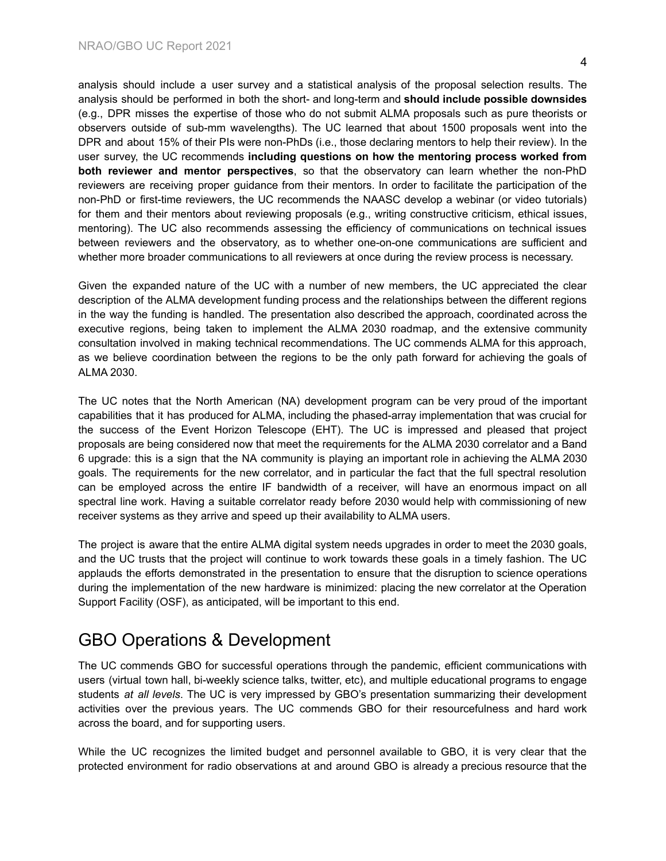analysis should include a user survey and a statistical analysis of the proposal selection results. The analysis should be performed in both the short- and long-term and **should include possible downsides** (e.g., DPR misses the expertise of those who do not submit ALMA proposals such as pure theorists or observers outside of sub-mm wavelengths). The UC learned that about 1500 proposals went into the DPR and about 15% of their PIs were non-PhDs (i.e., those declaring mentors to help their review). In the user survey, the UC recommends **including questions on how the mentoring process worked from both reviewer and mentor perspectives**, so that the observatory can learn whether the non-PhD reviewers are receiving proper guidance from their mentors. In order to facilitate the participation of the non-PhD or first-time reviewers, the UC recommends the NAASC develop a webinar (or video tutorials) for them and their mentors about reviewing proposals (e.g., writing constructive criticism, ethical issues, mentoring). The UC also recommends assessing the efficiency of communications on technical issues between reviewers and the observatory, as to whether one-on-one communications are sufficient and whether more broader communications to all reviewers at once during the review process is necessary.

Given the expanded nature of the UC with a number of new members, the UC appreciated the clear description of the ALMA development funding process and the relationships between the different regions in the way the funding is handled. The presentation also described the approach, coordinated across the executive regions, being taken to implement the ALMA 2030 roadmap, and the extensive community consultation involved in making technical recommendations. The UC commends ALMA for this approach, as we believe coordination between the regions to be the only path forward for achieving the goals of ALMA 2030.

The UC notes that the North American (NA) development program can be very proud of the important capabilities that it has produced for ALMA, including the phased-array implementation that was crucial for the success of the Event Horizon Telescope (EHT). The UC is impressed and pleased that project proposals are being considered now that meet the requirements for the ALMA 2030 correlator and a Band 6 upgrade: this is a sign that the NA community is playing an important role in achieving the ALMA 2030 goals. The requirements for the new correlator, and in particular the fact that the full spectral resolution can be employed across the entire IF bandwidth of a receiver, will have an enormous impact on all spectral line work. Having a suitable correlator ready before 2030 would help with commissioning of new receiver systems as they arrive and speed up their availability to ALMA users.

The project is aware that the entire ALMA digital system needs upgrades in order to meet the 2030 goals, and the UC trusts that the project will continue to work towards these goals in a timely fashion. The UC applauds the efforts demonstrated in the presentation to ensure that the disruption to science operations during the implementation of the new hardware is minimized: placing the new correlator at the Operation Support Facility (OSF), as anticipated, will be important to this end.

#### GBO Operations & Development

The UC commends GBO for successful operations through the pandemic, efficient communications with users (virtual town hall, bi-weekly science talks, twitter, etc), and multiple educational programs to engage students *at all levels*. The UC is very impressed by GBO's presentation summarizing their development activities over the previous years. The UC commends GBO for their resourcefulness and hard work across the board, and for supporting users.

While the UC recognizes the limited budget and personnel available to GBO, it is very clear that the protected environment for radio observations at and around GBO is already a precious resource that the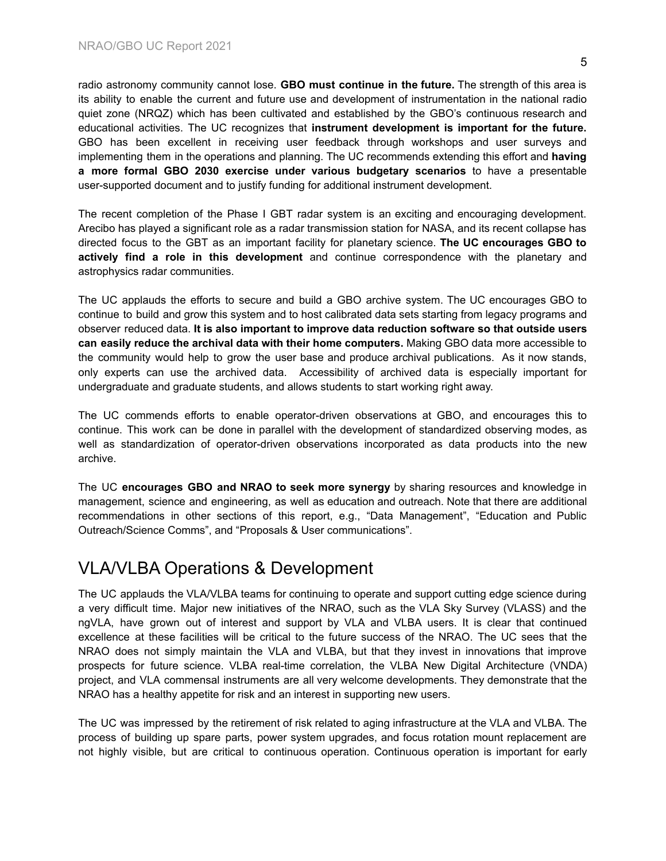radio astronomy community cannot lose. **GBO must continue in the future.** The strength of this area is its ability to enable the current and future use and development of instrumentation in the national radio quiet zone (NRQZ) which has been cultivated and established by the GBO's continuous research and educational activities. The UC recognizes that **instrument development is important for the future.** GBO has been excellent in receiving user feedback through workshops and user surveys and implementing them in the operations and planning. The UC recommends extending this effort and **having a more formal GBO 2030 exercise under various budgetary scenarios** to have a presentable user-supported document and to justify funding for additional instrument development.

The recent completion of the Phase I GBT radar system is an exciting and encouraging development. Arecibo has played a significant role as a radar transmission station for NASA, and its recent collapse has directed focus to the GBT as an important facility for planetary science. **The UC encourages GBO to actively find a role in this development** and continue correspondence with the planetary and astrophysics radar communities.

The UC applauds the efforts to secure and build a GBO archive system. The UC encourages GBO to continue to build and grow this system and to host calibrated data sets starting from legacy programs and observer reduced data. **It is also important to improve data reduction software so that outside users can easily reduce the archival data with their home computers.** Making GBO data more accessible to the community would help to grow the user base and produce archival publications. As it now stands, only experts can use the archived data. Accessibility of archived data is especially important for undergraduate and graduate students, and allows students to start working right away.

The UC commends efforts to enable operator-driven observations at GBO, and encourages this to continue. This work can be done in parallel with the development of standardized observing modes, as well as standardization of operator-driven observations incorporated as data products into the new archive.

The UC **encourages GBO and NRAO to seek more synergy** by sharing resources and knowledge in management, science and engineering, as well as education and outreach. Note that there are additional recommendations in other sections of this report, e.g., "Data Management", "Education and Public Outreach/Science Comms", and "Proposals & User communications".

#### VLA/VLBA Operations & Development

The UC applauds the VLA/VLBA teams for continuing to operate and support cutting edge science during a very difficult time. Major new initiatives of the NRAO, such as the VLA Sky Survey (VLASS) and the ngVLA, have grown out of interest and support by VLA and VLBA users. It is clear that continued excellence at these facilities will be critical to the future success of the NRAO. The UC sees that the NRAO does not simply maintain the VLA and VLBA, but that they invest in innovations that improve prospects for future science. VLBA real-time correlation, the VLBA New Digital Architecture (VNDA) project, and VLA commensal instruments are all very welcome developments. They demonstrate that the NRAO has a healthy appetite for risk and an interest in supporting new users.

The UC was impressed by the retirement of risk related to aging infrastructure at the VLA and VLBA. The process of building up spare parts, power system upgrades, and focus rotation mount replacement are not highly visible, but are critical to continuous operation. Continuous operation is important for early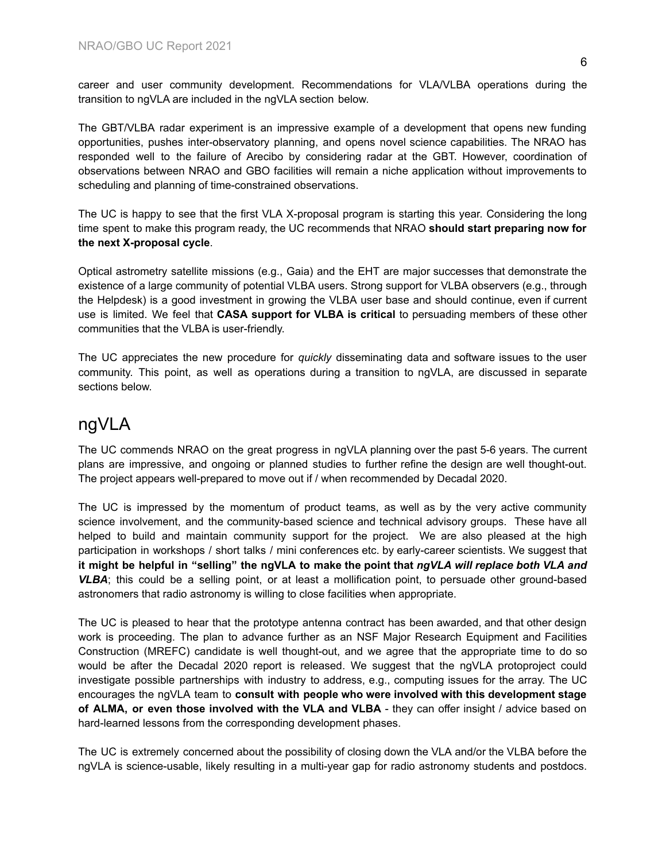career and user community development. Recommendations for VLA/VLBA operations during the transition to ngVLA are included in the ngVLA section below.

The GBT/VLBA radar experiment is an impressive example of a development that opens new funding opportunities, pushes inter-observatory planning, and opens novel science capabilities. The NRAO has responded well to the failure of Arecibo by considering radar at the GBT. However, coordination of observations between NRAO and GBO facilities will remain a niche application without improvements to scheduling and planning of time-constrained observations.

The UC is happy to see that the first VLA X-proposal program is starting this year. Considering the long time spent to make this program ready, the UC recommends that NRAO **should start preparing now for the next X-proposal cycle**.

Optical astrometry satellite missions (e.g., Gaia) and the EHT are major successes that demonstrate the existence of a large community of potential VLBA users. Strong support for VLBA observers (e.g., through the Helpdesk) is a good investment in growing the VLBA user base and should continue, even if current use is limited. We feel that **CASA support for VLBA is critical** to persuading members of these other communities that the VLBA is user-friendly.

The UC appreciates the new procedure for *quickly* disseminating data and software issues to the user community. This point, as well as operations during a transition to ngVLA, are discussed in separate sections below.

## ngVLA

The UC commends NRAO on the great progress in ngVLA planning over the past 5-6 years. The current plans are impressive, and ongoing or planned studies to further refine the design are well thought-out. The project appears well-prepared to move out if / when recommended by Decadal 2020.

The UC is impressed by the momentum of product teams, as well as by the very active community science involvement, and the community-based science and technical advisory groups. These have all helped to build and maintain community support for the project. We are also pleased at the high participation in workshops / short talks / mini conferences etc. by early-career scientists. We suggest that it might be helpful in "selling" the ngVLA to make the point that ngVLA will replace both VLA and *VLBA*; this could be a selling point, or at least a mollification point, to persuade other ground-based astronomers that radio astronomy is willing to close facilities when appropriate.

The UC is pleased to hear that the prototype antenna contract has been awarded, and that other design work is proceeding. The plan to advance further as an NSF Major Research Equipment and Facilities Construction (MREFC) candidate is well thought-out, and we agree that the appropriate time to do so would be after the Decadal 2020 report is released. We suggest that the ngVLA protoproject could investigate possible partnerships with industry to address, e.g., computing issues for the array. The UC encourages the ngVLA team to **consult with people who were involved with this development stage of ALMA, or even those involved with the VLA and VLBA** - they can offer insight / advice based on hard-learned lessons from the corresponding development phases.

The UC is extremely concerned about the possibility of closing down the VLA and/or the VLBA before the ngVLA is science-usable, likely resulting in a multi-year gap for radio astronomy students and postdocs.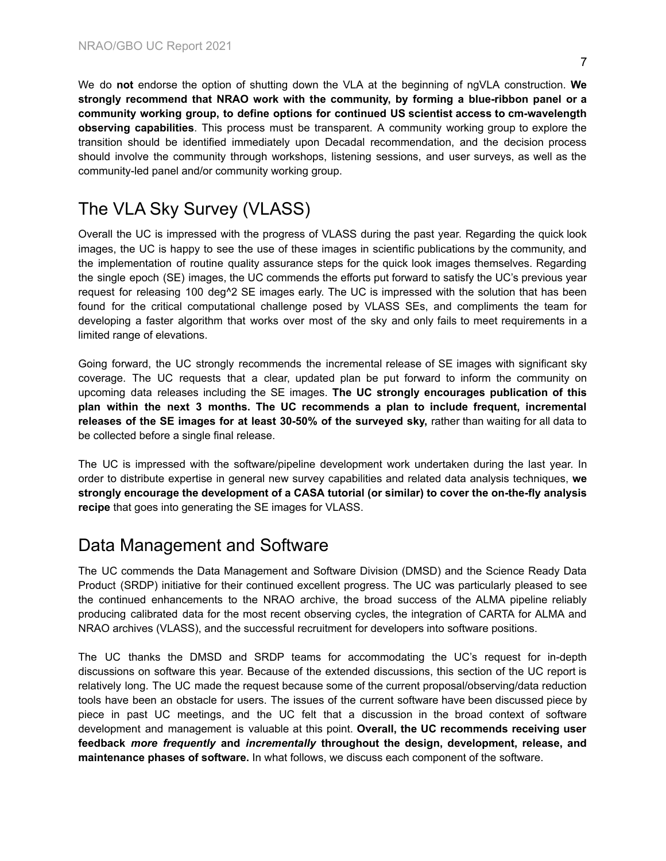We do **not** endorse the option of shutting down the VLA at the beginning of ngVLA construction. **We strongly recommend that NRAO work with the community, by forming a blue-ribbon panel or a community working group, to define options for continued US scientist access to cm-wavelength observing capabilities**. This process must be transparent. A community working group to explore the transition should be identified immediately upon Decadal recommendation, and the decision process should involve the community through workshops, listening sessions, and user surveys, as well as the community-led panel and/or community working group.

## The VLA Sky Survey (VLASS)

Overall the UC is impressed with the progress of VLASS during the past year. Regarding the quick look images, the UC is happy to see the use of these images in scientific publications by the community, and the implementation of routine quality assurance steps for the quick look images themselves. Regarding the single epoch (SE) images, the UC commends the efforts put forward to satisfy the UC's previous year request for releasing 100 deg^2 SE images early. The UC is impressed with the solution that has been found for the critical computational challenge posed by VLASS SEs, and compliments the team for developing a faster algorithm that works over most of the sky and only fails to meet requirements in a limited range of elevations.

Going forward, the UC strongly recommends the incremental release of SE images with significant sky coverage. The UC requests that a clear, updated plan be put forward to inform the community on upcoming data releases including the SE images. **The UC strongly encourages publication of this plan within the next 3 months. The UC recommends a plan to include frequent, incremental releases of the SE images for at least 30-50% of the surveyed sky,** rather than waiting for all data to be collected before a single final release.

The UC is impressed with the software/pipeline development work undertaken during the last year. In order to distribute expertise in general new survey capabilities and related data analysis techniques, **we strongly encourage the development of a CASA tutorial (or similar) to cover the on-the-fly analysis recipe** that goes into generating the SE images for VLASS.

#### Data Management and Software

The UC commends the Data Management and Software Division (DMSD) and the Science Ready Data Product (SRDP) initiative for their continued excellent progress. The UC was particularly pleased to see the continued enhancements to the NRAO archive, the broad success of the ALMA pipeline reliably producing calibrated data for the most recent observing cycles, the integration of CARTA for ALMA and NRAO archives (VLASS), and the successful recruitment for developers into software positions.

The UC thanks the DMSD and SRDP teams for accommodating the UC's request for in-depth discussions on software this year. Because of the extended discussions, this section of the UC report is relatively long. The UC made the request because some of the current proposal/observing/data reduction tools have been an obstacle for users. The issues of the current software have been discussed piece by piece in past UC meetings, and the UC felt that a discussion in the broad context of software development and management is valuable at this point. **Overall, the UC recommends receiving user feedback** *more frequently* **and** *incrementally* **throughout the design, development, release, and maintenance phases of software.** In what follows, we discuss each component of the software.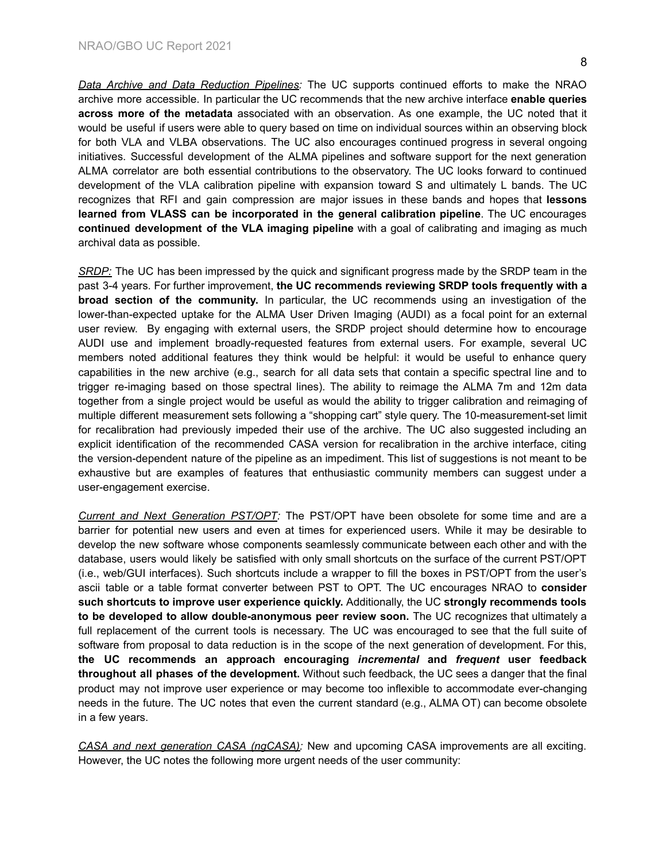*Data Archive and Data Reduction Pipelines:* The UC supports continued efforts to make the NRAO archive more accessible. In particular the UC recommends that the new archive interface **enable queries across more of the metadata** associated with an observation. As one example, the UC noted that it would be useful if users were able to query based on time on individual sources within an observing block for both VLA and VLBA observations. The UC also encourages continued progress in several ongoing initiatives. Successful development of the ALMA pipelines and software support for the next generation ALMA correlator are both essential contributions to the observatory. The UC looks forward to continued development of the VLA calibration pipeline with expansion toward S and ultimately L bands. The UC recognizes that RFI and gain compression are major issues in these bands and hopes that **lessons learned from VLASS can be incorporated in the general calibration pipeline**. The UC encourages **continued development of the VLA imaging pipeline** with a goal of calibrating and imaging as much archival data as possible.

*SRDP:* The UC has been impressed by the quick and significant progress made by the SRDP team in the past 3-4 years. For further improvement, **the UC recommends reviewing SRDP tools frequently with a broad section of the community.** In particular, the UC recommends using an investigation of the lower-than-expected uptake for the ALMA User Driven Imaging (AUDI) as a focal point for an external user review. By engaging with external users, the SRDP project should determine how to encourage AUDI use and implement broadly-requested features from external users. For example, several UC members noted additional features they think would be helpful: it would be useful to enhance query capabilities in the new archive (e.g., search for all data sets that contain a specific spectral line and to trigger re-imaging based on those spectral lines). The ability to reimage the ALMA 7m and 12m data together from a single project would be useful as would the ability to trigger calibration and reimaging of multiple different measurement sets following a "shopping cart" style query. The 10-measurement-set limit for recalibration had previously impeded their use of the archive. The UC also suggested including an explicit identification of the recommended CASA version for recalibration in the archive interface, citing the version-dependent nature of the pipeline as an impediment. This list of suggestions is not meant to be exhaustive but are examples of features that enthusiastic community members can suggest under a user-engagement exercise.

*Current and Next Generation PST/OPT:* The PST/OPT have been obsolete for some time and are a barrier for potential new users and even at times for experienced users. While it may be desirable to develop the new software whose components seamlessly communicate between each other and with the database, users would likely be satisfied with only small shortcuts on the surface of the current PST/OPT (i.e., web/GUI interfaces). Such shortcuts include a wrapper to fill the boxes in PST/OPT from the user's ascii table or a table format converter between PST to OPT. The UC encourages NRAO to **consider such shortcuts to improve user experience quickly.** Additionally, the UC **strongly recommends tools to be developed to allow double-anonymous peer review soon.** The UC recognizes that ultimately a full replacement of the current tools is necessary. The UC was encouraged to see that the full suite of software from proposal to data reduction is in the scope of the next generation of development. For this, **the UC recommends an approach encouraging** *incremental* **and** *frequent* **user feedback throughout all phases of the development.** Without such feedback, the UC sees a danger that the final product may not improve user experience or may become too inflexible to accommodate ever-changing needs in the future. The UC notes that even the current standard (e.g., ALMA OT) can become obsolete in a few years.

*CASA and next generation CASA (ngCASA):* New and upcoming CASA improvements are all exciting. However, the UC notes the following more urgent needs of the user community: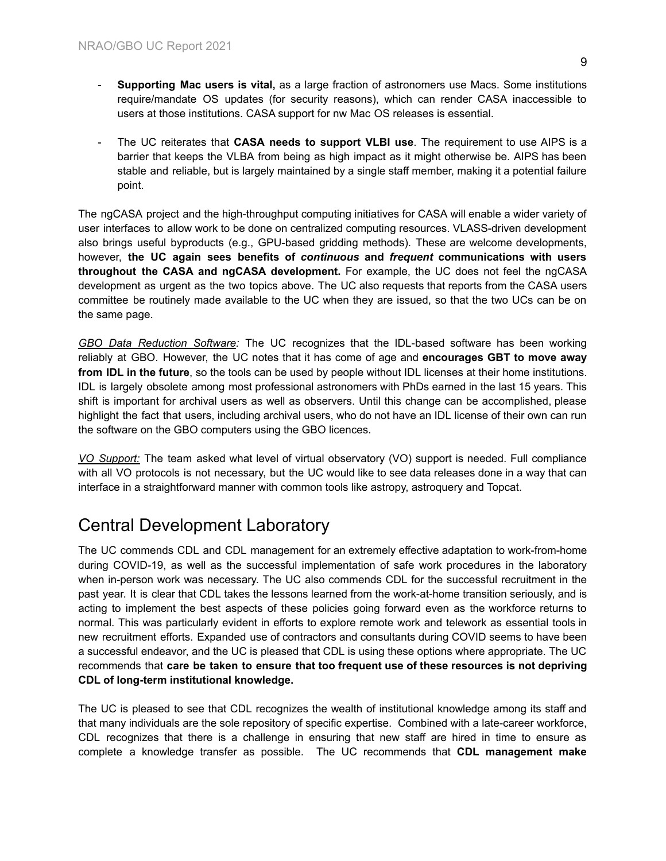- **Supporting Mac users is vital,** as a large fraction of astronomers use Macs. Some institutions require/mandate OS updates (for security reasons), which can render CASA inaccessible to users at those institutions. CASA support for nw Mac OS releases is essential.
- The UC reiterates that **CASA needs to support VLBI use**. The requirement to use AIPS is a barrier that keeps the VLBA from being as high impact as it might otherwise be. AIPS has been stable and reliable, but is largely maintained by a single staff member, making it a potential failure point.

The ngCASA project and the high-throughput computing initiatives for CASA will enable a wider variety of user interfaces to allow work to be done on centralized computing resources. VLASS-driven development also brings useful byproducts (e.g., GPU-based gridding methods). These are welcome developments, however, **the UC again sees benefits of** *continuous* **and** *frequent* **communications with users throughout the CASA and ngCASA development.** For example, the UC does not feel the ngCASA development as urgent as the two topics above. The UC also requests that reports from the CASA users committee be routinely made available to the UC when they are issued, so that the two UCs can be on the same page.

*GBO Data Reduction Software:* The UC recognizes that the IDL-based software has been working reliably at GBO. However, the UC notes that it has come of age and **encourages GBT to move away from IDL in the future**, so the tools can be used by people without IDL licenses at their home institutions. IDL is largely obsolete among most professional astronomers with PhDs earned in the last 15 years. This shift is important for archival users as well as observers. Until this change can be accomplished, please highlight the fact that users, including archival users, who do not have an IDL license of their own can run the software on the GBO computers using the GBO licences.

*VO Support:* The team asked what level of virtual observatory (VO) support is needed. Full compliance with all VO protocols is not necessary, but the UC would like to see data releases done in a way that can interface in a straightforward manner with common tools like astropy, astroquery and Topcat.

## Central Development Laboratory

The UC commends CDL and CDL management for an extremely effective adaptation to work-from-home during COVID-19, as well as the successful implementation of safe work procedures in the laboratory when in-person work was necessary. The UC also commends CDL for the successful recruitment in the past year. It is clear that CDL takes the lessons learned from the work-at-home transition seriously, and is acting to implement the best aspects of these policies going forward even as the workforce returns to normal. This was particularly evident in efforts to explore remote work and telework as essential tools in new recruitment efforts. Expanded use of contractors and consultants during COVID seems to have been a successful endeavor, and the UC is pleased that CDL is using these options where appropriate. The UC recommends that **care be taken to ensure that too frequent use of these resources is not depriving CDL of long-term institutional knowledge.**

The UC is pleased to see that CDL recognizes the wealth of institutional knowledge among its staff and that many individuals are the sole repository of specific expertise. Combined with a late-career workforce, CDL recognizes that there is a challenge in ensuring that new staff are hired in time to ensure as complete a knowledge transfer as possible. The UC recommends that **CDL management make**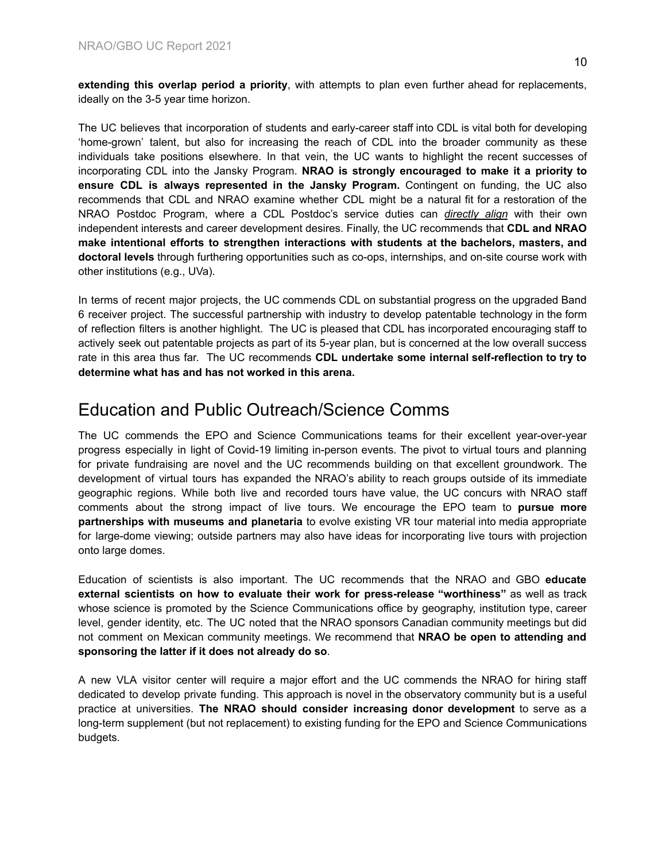**extending this overlap period a priority**, with attempts to plan even further ahead for replacements, ideally on the 3-5 year time horizon.

The UC believes that incorporation of students and early-career staff into CDL is vital both for developing 'home-grown' talent, but also for increasing the reach of CDL into the broader community as these individuals take positions elsewhere. In that vein, the UC wants to highlight the recent successes of incorporating CDL into the Jansky Program. **NRAO is strongly encouraged to make it a priority to ensure CDL is always represented in the Jansky Program.** Contingent on funding, the UC also recommends that CDL and NRAO examine whether CDL might be a natural fit for a restoration of the NRAO Postdoc Program, where a CDL Postdoc's service duties can *directly align* with their own independent interests and career development desires. Finally, the UC recommends that **CDL and NRAO make intentional efforts to strengthen interactions with students at the bachelors, masters, and doctoral levels** through furthering opportunities such as co-ops, internships, and on-site course work with other institutions (e.g., UVa).

In terms of recent major projects, the UC commends CDL on substantial progress on the upgraded Band 6 receiver project. The successful partnership with industry to develop patentable technology in the form of reflection filters is another highlight. The UC is pleased that CDL has incorporated encouraging staff to actively seek out patentable projects as part of its 5-year plan, but is concerned at the low overall success rate in this area thus far. The UC recommends **CDL undertake some internal self-reflection to try to determine what has and has not worked in this arena.**

### Education and Public Outreach/Science Comms

The UC commends the EPO and Science Communications teams for their excellent year-over-year progress especially in light of Covid-19 limiting in-person events. The pivot to virtual tours and planning for private fundraising are novel and the UC recommends building on that excellent groundwork. The development of virtual tours has expanded the NRAO's ability to reach groups outside of its immediate geographic regions. While both live and recorded tours have value, the UC concurs with NRAO staff comments about the strong impact of live tours. We encourage the EPO team to **pursue more partnerships with museums and planetaria** to evolve existing VR tour material into media appropriate for large-dome viewing; outside partners may also have ideas for incorporating live tours with projection onto large domes.

Education of scientists is also important. The UC recommends that the NRAO and GBO **educate external scientists on how to evaluate their work for press-release "worthiness"** as well as track whose science is promoted by the Science Communications office by geography, institution type, career level, gender identity, etc. The UC noted that the NRAO sponsors Canadian community meetings but did not comment on Mexican community meetings. We recommend that **NRAO be open to attending and sponsoring the latter if it does not already do so**.

A new VLA visitor center will require a major effort and the UC commends the NRAO for hiring staff dedicated to develop private funding. This approach is novel in the observatory community but is a useful practice at universities. **The NRAO should consider increasing donor development** to serve as a long-term supplement (but not replacement) to existing funding for the EPO and Science Communications budgets.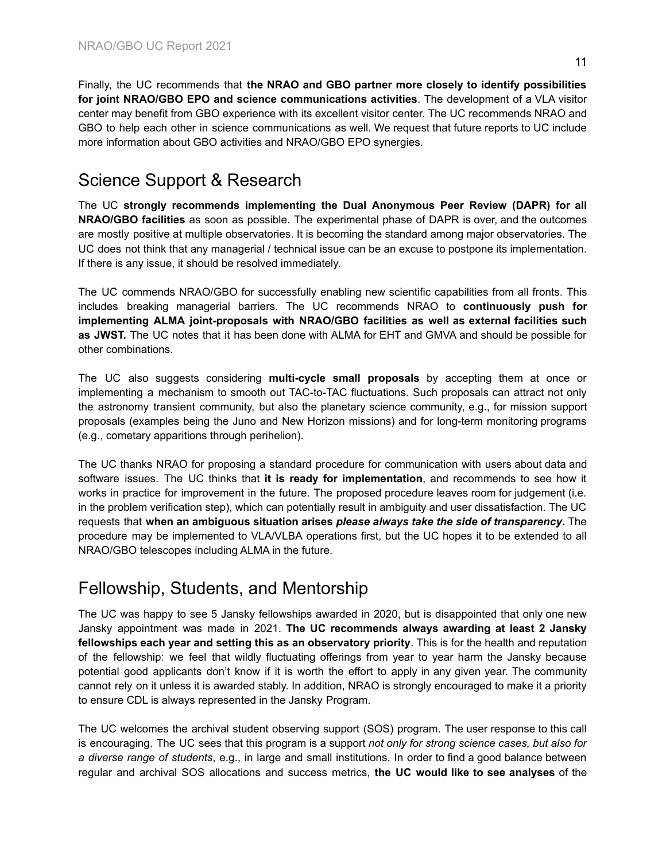Finally, the UC recommends that **the NRAO and GBO partner more closely to identify possibilities for joint NRAO/GBO EPO and science communications activities**. The development of a VLA visitor center may benefit from GBO experience with its excellent visitor center. The UC recommends NRAO and GBO to help each other in science communications as well. We request that future reports to UC include more information about GBO activities and NRAO/GBO EPO synergies.

# Science Support & Research

The UC **strongly recommends implementing the Dual Anonymous Peer Review (DAPR) for all NRAO/GBO facilities** as soon as possible. The experimental phase of DAPR is over, and the outcomes are mostly positive at multiple observatories. It is becoming the standard among major observatories. The UC does not think that any managerial / technical issue can be an excuse to postpone its implementation. If there is any issue, it should be resolved immediately.

The UC commends NRAO/GBO for successfully enabling new scientific capabilities from all fronts. This includes breaking managerial barriers. The UC recommends NRAO to **continuously push for implementing ALMA joint-proposals with NRAO/GBO facilities as well as external facilities such as JWST.** The UC notes that it has been done with ALMA for EHT and GMVA and should be possible for other combinations.

The UC also suggests considering **multi-cycle small proposals** by accepting them at once or implementing a mechanism to smooth out TAC-to-TAC fluctuations. Such proposals can attract not only the astronomy transient community, but also the planetary science community, e.g., for mission support proposals (examples being the Juno and New Horizon missions) and for long-term monitoring programs (e.g., cometary apparitions through perihelion).

The UC thanks NRAO for proposing a standard procedure for communication with users about data and software issues. The UC thinks that **it is ready for implementation**, and recommends to see how it works in practice for improvement in the future. The proposed procedure leaves room for judgement (i.e. in the problem verification step), which can potentially result in ambiguity and user dissatisfaction. The UC requests that **when an ambiguous situation arises** *please always take the side of transparency***.** The procedure may be implemented to VLA/VLBA operations first, but the UC hopes it to be extended to all NRAO/GBO telescopes including ALMA in the future.

## Fellowship, Students, and Mentorship

The UC was happy to see 5 Jansky fellowships awarded in 2020, but is disappointed that only one new Jansky appointment was made in 2021. **The UC recommends always awarding at least 2 Jansky fellowships each year and setting this as an observatory priority**. This is for the health and reputation of the fellowship: we feel that wildly fluctuating offerings from year to year harm the Jansky because potential good applicants don't know if it is worth the effort to apply in any given year. The community cannot rely on it unless it is awarded stably. In addition, NRAO is strongly encouraged to make it a priority to ensure CDL is always represented in the Jansky Program.

The UC welcomes the archival student observing support (SOS) program. The user response to this call is encouraging. The UC sees that this program is a support *not only for strong science cases, but also for a diverse range of students*, e.g., in large and small institutions. In order to find a good balance between regular and archival SOS allocations and success metrics, **the UC would like to see analyses** of the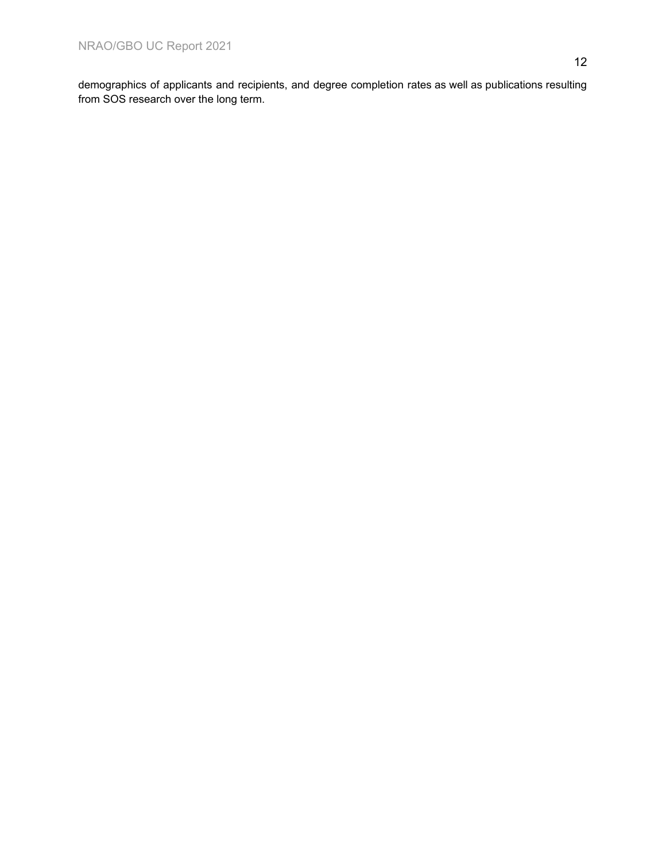demographics of applicants and recipients, and degree completion rates as well as publications resulting from SOS research over the long term.